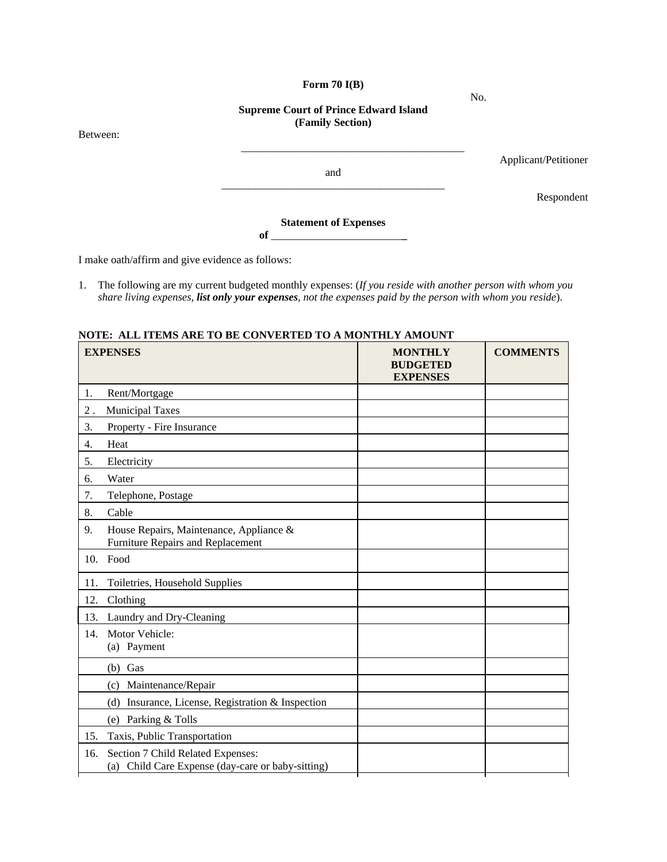## **Form 70 I(B)**

**Supreme Court of Prince Edward Island (Family Section)** 

Between:

Applicant/Petitioner

and \_\_\_\_\_\_\_\_\_\_\_\_\_\_\_\_\_\_\_\_\_\_\_\_\_\_\_\_\_\_\_\_\_\_\_\_\_\_\_\_\_

\_\_\_\_\_\_\_\_\_\_\_\_\_\_\_\_\_\_\_\_\_\_\_\_\_\_\_\_\_\_\_\_\_\_\_\_\_\_\_\_\_

Respondent

**Statement of Expenses of** \_\_\_\_\_\_\_\_\_\_\_\_\_\_\_\_\_\_\_\_\_\_\_\_**\_** 

I make oath/affirm and give evidence as follows:

1. The following are my current budgeted monthly expenses: (*If you reside with another person with whom you share living expenses, list only your expenses, not the expenses paid by the person with whom you reside*).

## **NOTE: ALL ITEMS ARE TO BE CONVERTED TO A MONTHLY AMOUNT**

| <b>EXPENSES</b> |                                                                                        | <b>MONTHLY</b><br><b>BUDGETED</b><br><b>EXPENSES</b> | <b>COMMENTS</b> |
|-----------------|----------------------------------------------------------------------------------------|------------------------------------------------------|-----------------|
| 1.              | Rent/Mortgage                                                                          |                                                      |                 |
| $2$ .           | <b>Municipal Taxes</b>                                                                 |                                                      |                 |
| 3.              | Property - Fire Insurance                                                              |                                                      |                 |
| 4.              | Heat                                                                                   |                                                      |                 |
| 5.              | Electricity                                                                            |                                                      |                 |
| 6.              | Water                                                                                  |                                                      |                 |
| 7.              | Telephone, Postage                                                                     |                                                      |                 |
| 8.              | Cable                                                                                  |                                                      |                 |
| 9.              | House Repairs, Maintenance, Appliance &<br>Furniture Repairs and Replacement           |                                                      |                 |
| 10.             | Food                                                                                   |                                                      |                 |
| 11.             | Toiletries, Household Supplies                                                         |                                                      |                 |
| 12.             | Clothing                                                                               |                                                      |                 |
| 13.             | Laundry and Dry-Cleaning                                                               |                                                      |                 |
| 14.             | Motor Vehicle:<br>(a) Payment                                                          |                                                      |                 |
|                 | $(b)$ Gas                                                                              |                                                      |                 |
|                 | (c) Maintenance/Repair                                                                 |                                                      |                 |
|                 | (d) Insurance, License, Registration & Inspection                                      |                                                      |                 |
|                 | (e) Parking & Tolls                                                                    |                                                      |                 |
| 15.             | Taxis, Public Transportation                                                           |                                                      |                 |
| 16.             | Section 7 Child Related Expenses:<br>(a) Child Care Expense (day-care or baby-sitting) |                                                      |                 |

No.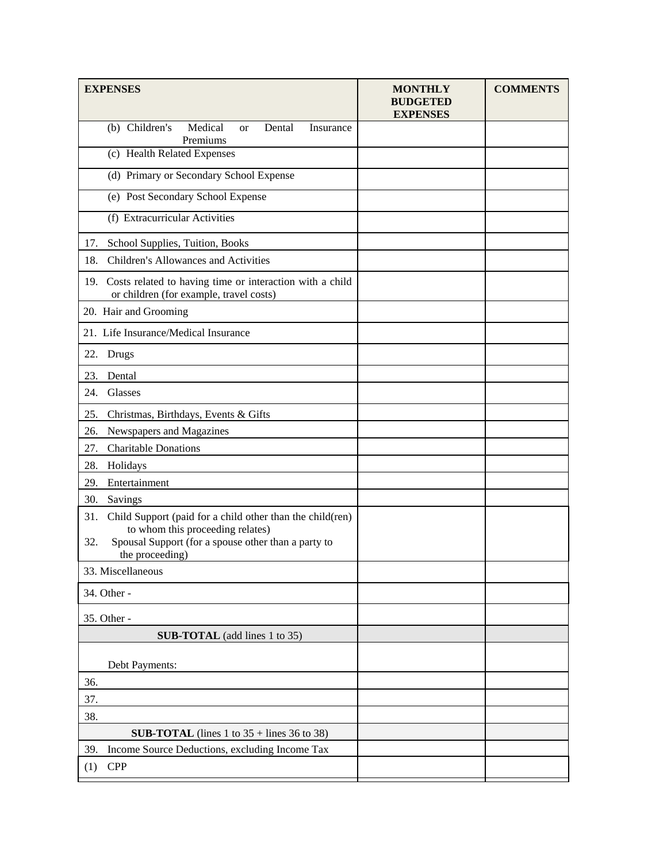| <b>EXPENSES</b>                                                                                            | <b>MONTHLY</b><br><b>BUDGETED</b><br><b>EXPENSES</b> | <b>COMMENTS</b> |
|------------------------------------------------------------------------------------------------------------|------------------------------------------------------|-----------------|
| (b) Children's<br>Medical<br>Dental<br>Insurance<br><b>or</b><br>Premiums                                  |                                                      |                 |
| (c) Health Related Expenses                                                                                |                                                      |                 |
| (d) Primary or Secondary School Expense                                                                    |                                                      |                 |
| (e) Post Secondary School Expense                                                                          |                                                      |                 |
| (f) Extracurricular Activities                                                                             |                                                      |                 |
| School Supplies, Tuition, Books<br>17.                                                                     |                                                      |                 |
| 18.<br>Children's Allowances and Activities                                                                |                                                      |                 |
| Costs related to having time or interaction with a child<br>19.<br>or children (for example, travel costs) |                                                      |                 |
| 20. Hair and Grooming                                                                                      |                                                      |                 |
| 21. Life Insurance/Medical Insurance                                                                       |                                                      |                 |
| 22.<br>Drugs                                                                                               |                                                      |                 |
| 23.<br>Dental                                                                                              |                                                      |                 |
| 24.<br>Glasses                                                                                             |                                                      |                 |
| Christmas, Birthdays, Events & Gifts<br>25.                                                                |                                                      |                 |
| Newspapers and Magazines<br>26.                                                                            |                                                      |                 |
| 27.<br><b>Charitable Donations</b>                                                                         |                                                      |                 |
| 28.<br>Holidays                                                                                            |                                                      |                 |
| 29.<br>Entertainment                                                                                       |                                                      |                 |
| 30.<br>Savings                                                                                             |                                                      |                 |
| 31.<br>Child Support (paid for a child other than the child(ren)                                           |                                                      |                 |
| to whom this proceeding relates)<br>Spousal Support (for a spouse other than a party to<br>32.             |                                                      |                 |
| the proceeding)                                                                                            |                                                      |                 |
| 33. Miscellaneous                                                                                          |                                                      |                 |
| 34. Other -                                                                                                |                                                      |                 |
| 35. Other -                                                                                                |                                                      |                 |
| <b>SUB-TOTAL</b> (add lines 1 to 35)                                                                       |                                                      |                 |
| Debt Payments:                                                                                             |                                                      |                 |
| 36.                                                                                                        |                                                      |                 |
| 37.                                                                                                        |                                                      |                 |
| 38.                                                                                                        |                                                      |                 |
| <b>SUB-TOTAL</b> (lines 1 to $35 +$ lines 36 to 38)                                                        |                                                      |                 |
| 39.<br>Income Source Deductions, excluding Income Tax                                                      |                                                      |                 |
| <b>CPP</b><br>(1)                                                                                          |                                                      |                 |
|                                                                                                            |                                                      |                 |